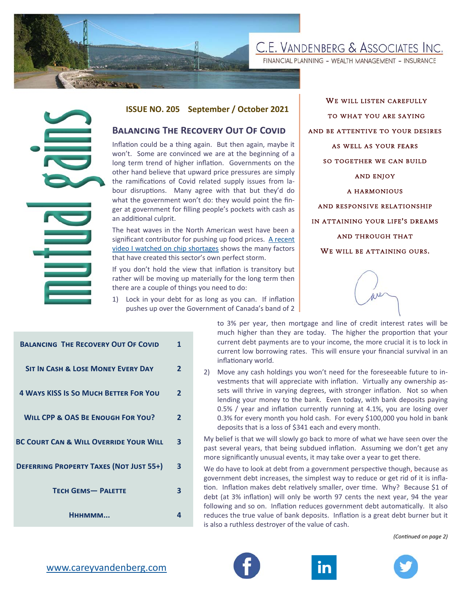# C.E. VANDENBERG & ASSOCIATES INC.

FINANCIAL PLANNING - WEALTH MANAGEMENT - INSURANCE



#### **ISSUE NO. 205 September / October 2021**

#### **BALANCING THE RECOVERY OUT OF COVID**

WE WILL LISTEN CAREFULLY TO WHAT YOU ARE SAYING AND BE ATTENTIVE TO YOUR DESIRES AS WELL AS YOUR FEARS SO TOGETHER WE CAN BUILD AND ENJOY A HARMONIOUS AND RESPONSIVE RELATIONSHIP IN ATTAINING YOUR LIFE ' S DREAMS AND THROUGH THAT WE WILL BE ATTAINING OURS.



|                                                                                               | <b>ISSUE NO. 205</b>                                                                                                                                                                                                                                                                                                                                                                                                                                                                                                  |                              |                                                                                                                                    | September / October 2021                                                                                                                      |
|-----------------------------------------------------------------------------------------------|-----------------------------------------------------------------------------------------------------------------------------------------------------------------------------------------------------------------------------------------------------------------------------------------------------------------------------------------------------------------------------------------------------------------------------------------------------------------------------------------------------------------------|------------------------------|------------------------------------------------------------------------------------------------------------------------------------|-----------------------------------------------------------------------------------------------------------------------------------------------|
|                                                                                               | <b>BALANCING THE RECOVERY OUT OF COVID</b>                                                                                                                                                                                                                                                                                                                                                                                                                                                                            |                              |                                                                                                                                    |                                                                                                                                               |
|                                                                                               | Inflation could be a thing again. But then again, maybe it<br>won't. Some are convinced we are at the beginning of a<br>long term trend of higher inflation. Governments on the<br>other hand believe that upward price pressures are simply<br>the ramifications of Covid related supply issues from la-<br>bour disruptions. Many agree with that but they'd do<br>what the government won't do: they would point the fin-<br>ger at government for filling people's pockets with cash as<br>an additional culprit. |                              |                                                                                                                                    |                                                                                                                                               |
|                                                                                               | The heat waves in the North American west have been a<br>significant contributor for pushing up food prices. A recent<br>video I watched on chip shortages shows the many factors<br>that have created this sector's own perfect storm.<br>If you don't hold the view that inflation is transitory but                                                                                                                                                                                                                |                              |                                                                                                                                    |                                                                                                                                               |
|                                                                                               | rather will be moving up materially for the long term then<br>there are a couple of things you need to do:                                                                                                                                                                                                                                                                                                                                                                                                            |                              |                                                                                                                                    |                                                                                                                                               |
|                                                                                               | 1)<br>Lock in your debt for as long as you can. If inflation<br>pushes up over the Government of Canada's band of 2                                                                                                                                                                                                                                                                                                                                                                                                   |                              |                                                                                                                                    |                                                                                                                                               |
| <b>BALANCING THE RECOVERY OUT OF COVID</b>                                                    |                                                                                                                                                                                                                                                                                                                                                                                                                                                                                                                       | $\mathbf{1}$                 | to 3% per year, then mo<br>much higher than they a<br>current debt payments ar<br>current low borrowing rat<br>inflationary world. |                                                                                                                                               |
| <b>SIT IN CASH &amp; LOSE MONEY EVERY DAY</b><br><b>4 WAYS KISS IS SO MUCH BETTER FOR YOU</b> |                                                                                                                                                                                                                                                                                                                                                                                                                                                                                                                       | $\mathbf{2}$<br>$\mathbf{2}$ | 2)                                                                                                                                 | Move any cash holdings y<br>vestments that will appre<br>sets will thrive in varying<br>lending your money to th<br>0.5% / year and inflation |
| <b>WILL CPP &amp; OAS BE ENOUGH FOR YOU?</b>                                                  |                                                                                                                                                                                                                                                                                                                                                                                                                                                                                                                       | 2                            |                                                                                                                                    | 0.3% for every month you<br>deposits that is a loss of \$                                                                                     |
| <b>BC COURT CAN &amp; WILL OVERRIDE YOUR WILL</b>                                             |                                                                                                                                                                                                                                                                                                                                                                                                                                                                                                                       | 3                            |                                                                                                                                    | My belief is that we will slowly<br>past several years, that being<br>more significantly unusual eve                                          |
| <b>DEFERRING PROPERTY TAXES (NOT JUST 55+)</b>                                                |                                                                                                                                                                                                                                                                                                                                                                                                                                                                                                                       | 3                            |                                                                                                                                    | We do have to look at debt fro<br>government debt increases, th                                                                               |
| <b>TECH GEMS- PALETTE</b>                                                                     |                                                                                                                                                                                                                                                                                                                                                                                                                                                                                                                       | 3                            |                                                                                                                                    | tion. Inflation makes debt rela<br>debt (at 3% inflation) will onl<br>following and so on. Inflation                                          |
| Нннммм                                                                                        |                                                                                                                                                                                                                                                                                                                                                                                                                                                                                                                       | 4                            |                                                                                                                                    | reduces the true value of banl<br>is also a ruthless destroyer of t                                                                           |
| www.careyvandenberg.com                                                                       |                                                                                                                                                                                                                                                                                                                                                                                                                                                                                                                       |                              |                                                                                                                                    |                                                                                                                                               |

to 3% per year, then mortgage and line of credit interest rates will be much higher than they are today. The higher the proportion that your current debt payments are to your income, the more crucial it is to lock in current low borrowing rates. This will ensure your financial survival in an inflationary world.

2) Move any cash holdings you won't need for the foreseeable future to investments that will appreciate with inflation. Virtually any ownership assets will thrive in varying degrees, with stronger inflation. Not so when lending your money to the bank. Even today, with bank deposits paying 0.5% / year and inflation currently running at 4.1%, you are losing over 0.3% for every month you hold cash. For every \$100,000 you hold in bank deposits that is a loss of \$341 each and every month.

My belief is that we will slowly go back to more of what we have seen over the past several years, that being subdued inflation. Assuming we don't get any more significantly unusual events, it may take over a year to get there.

We do have to look at debt from a government perspective though, because as government debt increases, the simplest way to reduce or get rid of it is inflation. Inflation makes debt relatively smaller, over time. Why? Because \$1 of debt (at 3% inflation) will only be worth 97 cents the next year, 94 the year following and so on. Inflation reduces government debt automatically. It also reduces the true value of bank deposits. Inflation is a great debt burner but it is also a ruthless destroyer of the value of cash.

*(ConƟnued on page 2)* 





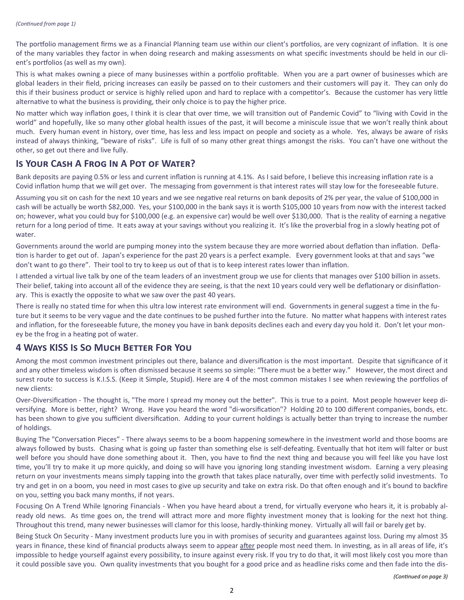The portfolio management firms we as a Financial Planning team use within our client's portfolios, are very cognizant of inflation. It is one of the many variables they factor in when doing research and making assessments on what specific investments should be held in our client's portfolios (as well as my own).

This is what makes owning a piece of many businesses within a portfolio profitable. When you are a part owner of businesses which are global leaders in their field, pricing increases can easily be passed on to their customers and their customers will pay it. They can only do this if their business product or service is highly relied upon and hard to replace with a competitor's. Because the customer has very little alternative to what the business is providing, their only choice is to pay the higher price.

No matter which way inflation goes, I think it is clear that over time, we will transition out of Pandemic Covid" to "living with Covid in the world" and hopefully, like so many other global health issues of the past, it will become a miniscule issue that we won't really think about much. Every human event in history, over time, has less and less impact on people and society as a whole. Yes, always be aware of risks instead of always thinking, "beware of risks". Life is full of so many other great things amongst the risks. You can't have one without the other, so get out there and live fully.

#### **IS YOUR CASH A FROG IN A POT OF WATER?**

Bank deposits are paying 0.5% or less and current inflation is running at 4.1%. As I said before, I believe this increasing inflation rate is a Covid inflation hump that we will get over. The messaging from government is that interest rates will stay low for the foreseeable future.

Assuming you sit on cash for the next 10 years and we see negative real returns on bank deposits of 2% per year, the value of \$100,000 in cash will be actually be worth \$82,000. Yes, your \$100,000 in the bank says it is worth \$105,000 10 years from now with the interest tacked on; however, what you could buy for \$100,000 (e.g. an expensive car) would be well over \$130,000. That is the reality of earning a negative return for a long period of time. It eats away at your savings without you realizing it. It's like the proverbial frog in a slowly heating pot of water

Governments around the world are pumping money into the system because they are more worried about deflation than inflation. Deflation is harder to get out of. Japan's experience for the past 20 years is a perfect example. Every government looks at that and says "we don't want to go there". Their tool to try to keep us out of that is to keep interest rates lower than inflation.

I attended a virtual live talk by one of the team leaders of an investment group we use for clients that manages over \$100 billion in assets. Their belief, taking into account all of the evidence they are seeing, is that the next 10 years could very well be deflationary or disinflationary. This is exactly the opposite to what we saw over the past 40 years.

There is really no stated time for when this ultra low interest rate environment will end. Governments in general suggest a time in the future but it seems to be very vague and the date continues to be pushed further into the future. No matter what happens with interest rates and inflation, for the foreseeable future, the money you have in bank deposits declines each and every day you hold it. Don't let your money be the frog in a heating pot of water.

## **4 WAYS KISS IS SO MUCH BETTER FOR YOU**

Among the most common investment principles out there, balance and diversification is the most important. Despite that significance of it and any other timeless wisdom is often dismissed because it seems so simple: "There must be a better way." However, the most direct and surest route to success is K.I.S.S. (Keep it Simple, Stupid). Here are 4 of the most common mistakes I see when reviewing the portfolios of new clients:

Over-Diversification - The thought is, "The more I spread my money out the better". This is true to a point. Most people however keep diversifying. More is better, right? Wrong. Have you heard the word "di-worsification"? Holding 20 to 100 different companies, bonds, etc. has been shown to give you sufficient diversification. Adding to your current holdings is actually better than trying to increase the number of holdings.

Buying The "Conversation Pieces" - There always seems to be a boom happening somewhere in the investment world and those booms are always followed by busts. Chasing what is going up faster than something else is self-defeating. Eventually that hot item will falter or bust well before you should have done something about it. Then, you have to find the next thing and because you will feel like you have lost time, you'll try to make it up more quickly, and doing so will have you ignoring long standing investment wisdom. Earning a very pleasing return on your investments means simply tapping into the growth that takes place naturally, over time with perfectly solid investments. To try and get in on a boom, you need in most cases to give up security and take on extra risk. Do that often enough and it's bound to backfire on you, setting you back many months, if not years.

Focusing On A Trend While Ignoring Financials - When you have heard about a trend, for virtually everyone who hears it, it is probably already old news. As time goes on, the trend will attract more and more flighty investment money that is looking for the next hot thing. Throughout this trend, many newer businesses will clamor for this loose, hardly-thinking money. Virtually all will fail or barely get by.

Being Stuck On Security - Many investment products lure you in with promises of security and guarantees against loss. During my almost 35 years in finance, these kind of financial products always seem to appear after people most need them. In investing, as in all areas of life, it's impossible to hedge yourself against every possibility, to insure against every risk. If you try to do that, it will most likely cost you more than it could possible save you. Own quality investments that you bought for a good price and as headline risks come and then fade into the dis-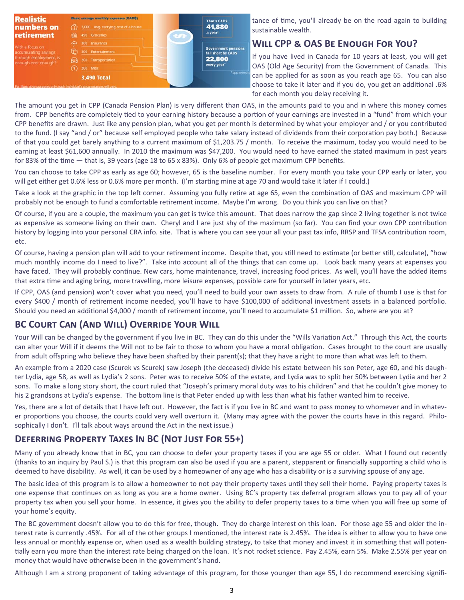

tance of time, you'll already be on the road again to building sustainable wealth.

## **WILL CPP & OAS BE ENOUGH FOR YOU?**

If you have lived in Canada for 10 years at least, you will get OAS (Old Age Security) from the Government of Canada. This can be applied for as soon as you reach age 65. You can also choose to take it later and if you do, you get an additional .6% for each month you delay receiving it.

The amount you get in CPP (Canada Pension Plan) is very different than OAS, in the amounts paid to you and in where this money comes from. CPP benefits are completely tied to your earning history because a portion of your earnings are invested in a "fund" from which your CPP benefits are drawn. Just like any pension plan, what you get per month is determined by what your employer and / or you contributed to the fund. (I say "and / or" because self employed people who take salary instead of dividends from their corporation pay both.) Because of that you could get barely anything to a current maximum of \$1,203.75 / month. To receive the maximum, today you would need to be earning at least \$61,600 annually. In 2010 the maximum was \$47,200. You would need to have earned the stated maximum in past years for 83% of the time - that is, 39 years (age 18 to 65 x 83%). Only 6% of people get maximum CPP benefits.

You can choose to take CPP as early as age 60; however, 65 is the baseline number. For every month you take your CPP early or later, you will get either get 0.6% less or 0.6% more per month. (I'm starting mine at age 70 and would take it later if I could.)

Take a look at the graphic in the top left corner. Assuming you fully retire at age 65, even the combination of OAS and maximum CPP will probably not be enough to fund a comfortable retirement income. Maybe I'm wrong. Do you think you can live on that?

Of course, if you are a couple, the maximum you can get is twice this amount. That does narrow the gap since 2 living together is not twice as expensive as someone living on their own. Cheryl and I are just shy of the maximum (so far). You can find your own CPP contribution history by logging into your personal CRA info. site. That is where you can see your all your past tax info, RRSP and TFSA contribution room, etc.

Of course, having a pension plan will add to your retirement income. Despite that, you still need to estimate (or better still, calculate), "how much monthly income do I need to live?". Take into account all of the things that can come up. Look back many years at expenses you have faced. They will probably continue. New cars, home maintenance, travel, increasing food prices. As well, you'll have the added items that extra time and aging bring, more travelling, more leisure expenses, possible care for yourself in later years, etc.

If CPP, OAS (and pension) won't cover what you need, you'll need to build your own assets to draw from. A rule of thumb I use is that for every \$400 / month of retirement income needed, you'll have to have \$100,000 of additional investment assets in a balanced portfolio. Should you need an additional \$4,000 / month of retirement income, you'll need to accumulate \$1 million. So, where are you at?

# **BC COURT CAN (AND WILL) OVERRIDE YOUR WILL**

Your Will can be changed by the government if you live in BC. They can do this under the "Wills Variation Act." Through this Act, the courts can alter your Will if it deems the Will not to be fair to those to whom you have a moral obligation. Cases brought to the court are usually from adult offspring who believe they have been shafted by their parent(s); that they have a right to more than what was left to them.

An example from a 2020 case (Scurek vs Scurek) saw Joseph (the deceased) divide his estate between his son Peter, age 60, and his daughter Lydia, age 58, as well as Lydia's 2 sons. Peter was to receive 50% of the estate, and Lydia was to split her 50% between Lydia and her 2 sons. To make a long story short, the court ruled that "Joseph's primary moral duty was to his children" and that he couldn't give money to his 2 grandsons at Lydia's expense. The bottom line is that Peter ended up with less than what his father wanted him to receive.

Yes, there are a lot of details that I have left out. However, the fact is if you live in BC and want to pass money to whomever and in whatever proportions you choose, the courts could very well overturn it. (Many may agree with the power the courts have in this regard. Philosophically I don't. I'll talk about ways around the Act in the next issue.)

# **DEFERRING PROPERTY TAXES IN BC (NOT JUST FOR 55+)**

Many of you already know that in BC, you can choose to defer your property taxes if you are age 55 or older. What I found out recently (thanks to an inquiry by Paul S.) is that this program can also be used if you are a parent, stepparent or financially supporting a child who is deemed to have disability. As well, it can be used by a homeowner of any age who has a disability or is a surviving spouse of any age.

The basic idea of this program is to allow a homeowner to not pay their property taxes until they sell their home. Paying property taxes is one expense that continues on as long as you are a home owner. Using BC's property tax deferral program allows you to pay all of your property tax when you sell your home. In essence, it gives you the ability to defer property taxes to a time when you will free up some of your home's equity.

The BC government doesn't allow you to do this for free, though. They do charge interest on this loan. For those age 55 and older the interest rate is currently .45%. For all of the other groups I mentioned, the interest rate is 2.45%. The idea is either to allow you to have one less annual or monthly expense or, when used as a wealth building strategy, to take that money and invest it in something that will potentially earn you more than the interest rate being charged on the loan. It's not rocket science. Pay 2.45%, earn 5%. Make 2.55% per year on money that would have otherwise been in the government's hand.

Although I am a strong proponent of taking advantage of this program, for those younger than age 55, I do recommend exercising signifi-